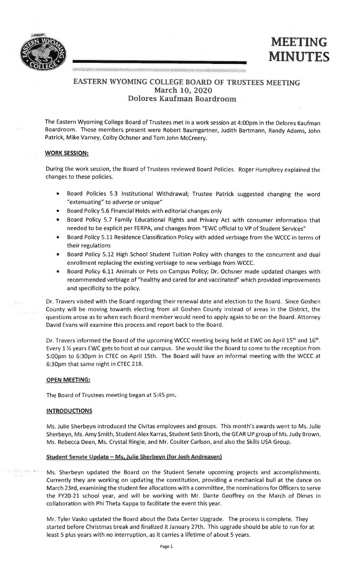



# **EASTERN WYOMING COLLEGE BOARD OF TRUSTEES MEETING March 10, 2020 Dolores Kaufman Boardroom**

The Eastern Wyoming College Board of Trustees met in a work session at 4:00pm in the Delores Kaufman Boardroom. Those members present were Robert Baumgartner, Judith Bartmann, Randy Adams, John Patrick, Mike Varney, Colby Ochsner and Tom John Mccreery.

#### **WORK SESSION:**

During the work session, the Board of Trustees reviewed Board Policies. Roger Humphrey explained the changes to these policies.

- Board Policies 5.3 Institutional Withdrawal; Trustee Patrick suggested changing the word "extenuating" to adverse or unique"
- Board Policy 5.6 Financial Holds with editorial changes only
- Board Policy 5.7 Family Educational Rights and Privacy Act with consumer information that needed to be explicit per FERPA, and changes from "EWC official to VP of Student Services"
- Board Policy 5.11 Residence Classification Policy with added verbiage from the WCCC in terms of their regulations
- Board Policy 5.12 High School Student Tuition Policy with changes to the concurrent and dual enrollment replacing the existing verbiage to new verbiage from WCCC.
- Board Policy 6.11 Animals or Pets on Campus Policy; Dr. Ochsner made updated changes with recommended verbiage of "healthy and cared for and vaccinated" which provided improvements and specificity to the policy.

Dr. Travers visited with the Board regarding their renewal date and election to the Board. Since Goshen County will be moving towards electing from all Goshen County instead of areas in the District, the questions arose as to when each Board member would need to apply again to be on the Board. Attorney David Evans will examine this process and report back to the Board.

Dr. Travers informed the Board of the upcoming WCCC meeting being held at EWC on April 15<sup>th</sup> and 16<sup>th</sup>. Every 1 ½ years EWC gets to host at our campus. She would like the Board to come to the reception from 5:00pm to 6:30pm in CTEC on April 15th. The Board will have an informal meeting with the WCCC at 6:30pm that same night in CTEC 218.

### **OPEN MEETING:**

The Board of Trustees meeting began at 5:45 pm.

### **INTRODUCTIONS**

Ms. Julie Sherbeyn introduced the Civitas employees and groups. This month's awards went to Ms. Julie Sherbeyn, Ms. Amy Smith, Student Alex Karras, Student Seth Shorb, the GEAR UP group of Ms. Judy Brown, Ms. Rebecca Deen, Ms. Crystal Ringle, and Mr. Coulter Carlson, and also the Skills USA Group.

## **Student Senate Update** - **Ms. Julie Sherbeyn (for Josh Andreasen)**

Ms. Sherbeyn updated the Board on the Student Senate upcoming projects and accomplishments. Currently they are working on updating the constitution, providing a mechanical bull at the dance on March 23rd, examining the student fee allocations with a committee, the nominations for Officers to serve the FY20-21 school year, and will be working with Mr. Dante Geoffrey on the March of Dimes in collaboration with Phi Theta Kappa to facilitate the event this year.

Mr. Tyler Vasko updated the Board about the Data Center Upgrade. The process is complete. They started before Christmas break and finalized it January 27th. This upgrade should be able to run for at least 5 plus years with no interruption, as it carries a lifetime of about 5 years.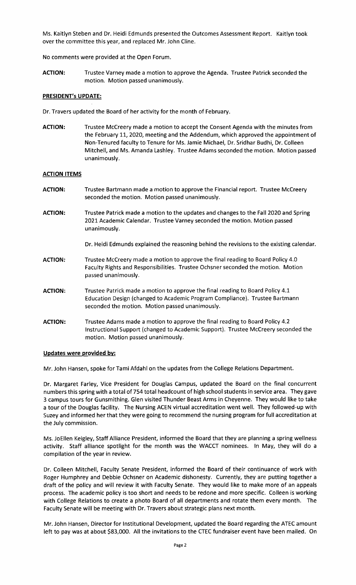Ms. Kaitlyn Steben and Dr. Heidi Edmunds presented the Outcomes Assessment Report. Kaitlyn took over the committee this year, and replaced Mr. John Cline.

No comments were provided at the Open Forum.

**ACTION:** Trustee Varney made a motion to approve the Agenda. Trustee Patrick seconded the motion. Motion passed unanimously.

### **PRESIDENT's UPDATE:**

Dr. Travers updated the Board of her activity for the month of February.

**ACTION:** Trustee Mccreery made a motion to accept the Consent Agenda with the minutes from the February 11, 2020, meeting and the Addendum, which approved the appointment of Non-Tenured faculty to Tenure for Ms. Jamie Michael, Dr. Sridhar Budhi, Dr. Colleen Mitchell, and Ms. Amanda Lashley. Trustee Adams seconded the motion. Motion passed unanimously.

### **ACTION ITEMS**

- **ACTION:** Trustee Bartmann made a motion to approve the Financial report. Trustee Mccreery seconded the motion. Motion passed unanimously.
- **ACTION:** Trustee Patrick made a motion to the updates and changes to the Fall 2020 and Spring 2021 Academic Calendar. Trustee Varney seconded the motion. Motion passed unanimously.
	- Dr. Heidi Edmunds explained the reasoning behind the revisions to the existing calendar.
- **ACTION:** Trustee Mccreery made a motion to approve the final reading to Board Policy 4.0 Faculty Rights and Responsibilities. Trustee Ochsner seconded the motion. Motion passed unanimously.
- **ACTION:** Trustee Patrick made a motion to approve the final reading to Board Policy 4.1 Education Design (changed to Academic Program Compliance). Trustee Bartmann seconded the motion. Motion passed unanimously.
- **ACTION:** Trustee Adams made a motion to approve the final reading to Board Policy 4.2 Instructional Support (changed to Academic Support). Trustee Mccreery seconded the motion. Motion passed unanimously.

#### **Updates were provided by:**

Mr. John Hansen, spoke for Tami Afdahl on the updates from the College Relations Department.

Dr. Margaret Farley, Vice President for Douglas Campus, updated the Board on the final concurrent numbers this spring with a total of 754 total headcount of high school students in service area. They gave 3 campus tours for Gunsmithing. Glen visited Thunder Beast Arms in Cheyenne. They would like to take a tour of the Douglas facility. The Nursing ACEN virtual accreditation went well. They followed-up with Suzey and informed her that they were going to recommend the nursing program for full accreditation at the July commission.

Ms. JoEllen Keigley, Staff Alliance President, informed the Board that they are planning a spring wellness activity. Staff alliance spotlight for the month was the WACCT nominees. In May, they will do a compilation of the year in review.

Dr. Colleen Mitchell, Faculty Senate President, informed the Board of their continuance of work with Roger Humphrey and Debbie Ochsner on Academic dishonesty. Currently, they are putting together a draft of the policy and will review it with Faculty Senate. They would like to make more of an appeals process. The academic policy is too short and needs to be redone and more specific. Colleen is working with College Relations to create a photo Board of all departments and rotate them every month. The Faculty Senate will be meeting with Dr. Travers about strategic plans next month.

Mr. John Hansen, Director for Institutional Development, updated the Board regarding the ATEC amount left to pay was at about \$83,000. All the invitations to the CTEC fundraiser event have been mailed. On